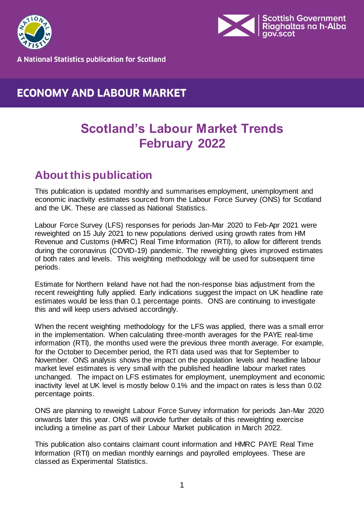



**A National Statistics publication for Scotland** 

### **ECONOMY AND LABOUR MARKET**

## **Scotland's Labour Market Trends February 2022**

## <span id="page-0-0"></span>**About this publication**

This publication is updated monthly and summarises employment, unemployment and economic inactivity estimates sourced from the Labour Force Survey (ONS) for Scotland and the UK. These are classed as National Statistics.

Labour Force Survey (LFS) responses for periods Jan-Mar 2020 to Feb-Apr 2021 were reweighted on 15 July 2021 to new populations derived using growth rates from HM Revenue and Customs (HMRC) Real Time Information (RTI), to allow for different trends during the coronavirus (COVID-19) pandemic. The reweighting gives improved estimates of both rates and levels. This weighting methodology will be used for subsequent time periods.

Estimate for Northern Ireland have not had the non-response bias adjustment from the recent reweighting fully applied. Early indications suggest the impact on UK headline rate estimates would be less than 0.1 percentage points. ONS are continuing to investigate this and will keep users advised accordingly.

When the recent weighting methodology for the LFS was applied, there was a small error in the implementation. When calculating three-month averages for the PAYE real-time information (RTI), the months used were the previous three month average. For example, for the October to December period, the RTI data used was that for September to November. ONS analysis shows the impact on the population levels and headline labour market level estimates is very small with the published headline labour market rates unchanged. The impact on LFS estimates for employment, unemployment and economic inactivity level at UK level is mostly below 0.1% and the impact on rates is less than 0.02 percentage points.

ONS are planning to reweight Labour Force Survey information for periods Jan-Mar 2020 onwards later this year. ONS will provide further details of this reweighting exercise including a timeline as part of their Labour Market publication in March 2022.

This publication also contains claimant count information and HMRC PAYE Real Time Information (RTI) on median monthly earnings and payrolled employees. These are classed as Experimental Statistics.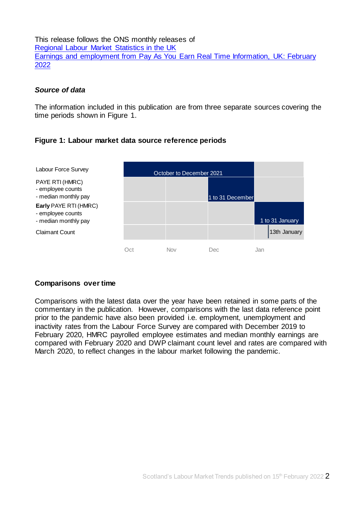This release follows the ONS monthly releases of [Regional Labour Market Statistics in the UK](https://www.ons.gov.uk/employmentandlabourmarket/peopleinwork/employmentandemployeetypes/bulletins/regionallabourmarket/previousReleases)  [Earnings and employment from Pay As You Earn Real Time Information, UK: February](https://www.ons.gov.uk/employmentandlabourmarket/peopleinwork/earningsandworkinghours/bulletins/earningsandemploymentfrompayasyouearnrealtimeinformationuk/previousReleases) [2022](https://www.ons.gov.uk/employmentandlabourmarket/peopleinwork/earningsandworkinghours/bulletins/earningsandemploymentfrompayasyouearnrealtimeinformationuk/previousReleases)

#### *Source of data*

The information included in this publication are from three separate sources covering the time periods shown in Figure 1.

#### **Figure 1: Labour market data source reference periods**

| Labour Force Survey                                                | October to December 2021 |     |                  |                 |
|--------------------------------------------------------------------|--------------------------|-----|------------------|-----------------|
| PAYE RTI (HMRC)<br>- employee counts<br>- median monthly pay       |                          |     | 1 to 31 December |                 |
| Early PAYE RTI (HMRC)<br>- employee counts<br>- median monthly pay |                          |     |                  | 1 to 31 January |
| <b>Claimant Count</b>                                              |                          |     |                  | 13th January    |
|                                                                    | Oct                      | Nov | Dec              | Jan             |

#### **Comparisons over time**

Comparisons with the latest data over the year have been retained in some parts of the commentary in the publication. However, comparisons with the last data reference point prior to the pandemic have also been provided i.e. employment, unemployment and inactivity rates from the Labour Force Survey are compared with December 2019 to February 2020, HMRC payrolled employee estimates and median monthly earnings are compared with February 2020 and DWP claimant count level and rates are compared with March 2020, to reflect changes in the labour market following the pandemic.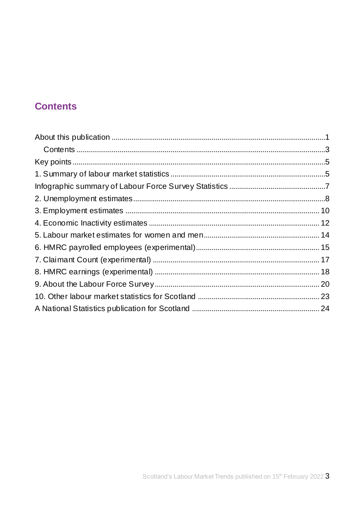## <span id="page-2-0"></span>**Contents**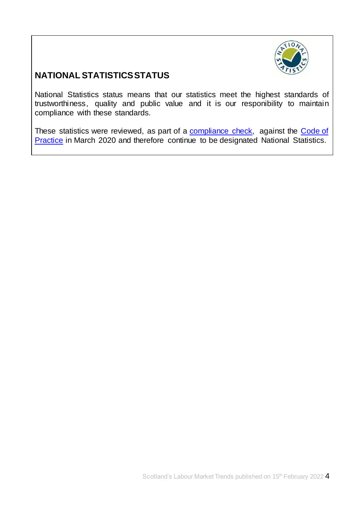

### **NATIONAL STATISTICS STATUS**

National Statistics status means that our statistics meet the highest standards of trustworthiness, quality and public value and it is our responibility to maintain compliance with these standards.

These statistics were reviewed, as part of a [compliance check,](https://www.statisticsauthority.gov.uk/correspondence/devolved-labour-market-compliance-check/) against the Code of [Practice](https://www.statisticsauthority.gov.uk/code-of-practice/) in March 2020 and therefore continue to be designated National Statistics.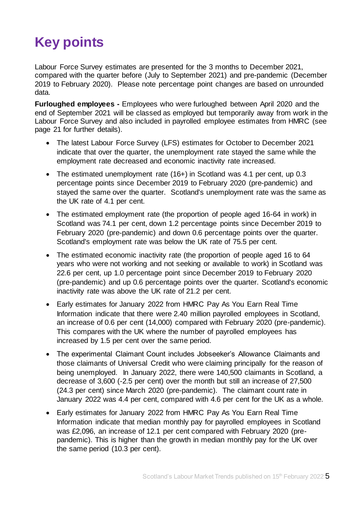# <span id="page-4-0"></span>**Key points**

Labour Force Survey estimates are presented for the 3 months to December 2021, compared with the quarter before (July to September 2021) and pre-pandemic (December 2019 to February 2020). Please note percentage point changes are based on unrounded data.

**Furloughed employees -** Employees who were furloughed between April 2020 and the end of September 2021 will be classed as employed but temporarily away from work in the Labour Force Survey and also included in payrolled employee estimates from HMRC (see page 21 for further details).

- The latest Labour Force Survey (LFS) estimates for October to December 2021 indicate that over the quarter, the unemployment rate stayed the same while the employment rate decreased and economic inactivity rate increased.
- The estimated unemployment rate (16+) in Scotland was 4.1 per cent, up 0.3 percentage points since December 2019 to February 2020 (pre-pandemic) and stayed the same over the quarter. Scotland's unemployment rate was the same as the UK rate of 4.1 per cent.
- The estimated employment rate (the proportion of people aged 16-64 in work) in Scotland was 74.1 per cent, down 1.2 percentage points since December 2019 to February 2020 (pre-pandemic) and down 0.6 percentage points over the quarter. Scotland's employment rate was below the UK rate of 75.5 per cent.
- The estimated economic inactivity rate (the proportion of people aged 16 to 64 years who were not working and not seeking or available to work) in Scotland was 22.6 per cent, up 1.0 percentage point since December 2019 to February 2020 (pre-pandemic) and up 0.6 percentage points over the quarter. Scotland's economic inactivity rate was above the UK rate of 21.2 per cent.
- Early estimates for January 2022 from HMRC Pay As You Earn Real Time Information indicate that there were 2.40 million payrolled employees in Scotland, an increase of 0.6 per cent (14,000) compared with February 2020 (pre-pandemic). This compares with the UK where the number of payrolled employees has increased by 1.5 per cent over the same period.
- The experimental Claimant Count includes Jobseeker's Allowance Claimants and those claimants of Universal Credit who were claiming principally for the reason of being unemployed. In January 2022, there were 140,500 claimants in Scotland, a decrease of 3,600 (-2.5 per cent) over the month but still an increase of 27,500 (24.3 per cent) since March 2020 (pre-pandemic). The claimant count rate in January 2022 was 4.4 per cent, compared with 4.6 per cent for the UK as a whole.
- <span id="page-4-1"></span> Early estimates for January 2022 from HMRC Pay As You Earn Real Time Information indicate that median monthly pay for payrolled employees in Scotland was £2,096, an increase of 12.1 per cent compared with February 2020 (prepandemic). This is higher than the growth in median monthly pay for the UK over the same period (10.3 per cent).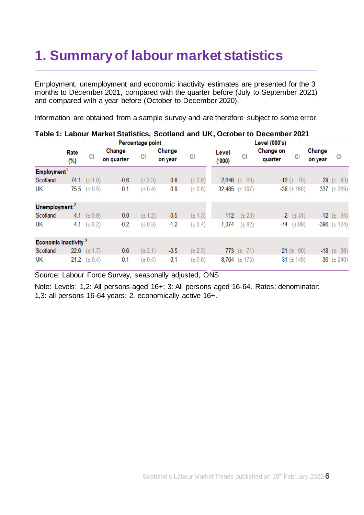# **1. Summary of labour market statistics**

Employment, unemployment and economic inactivity estimates are presented for the 3 months to December 2021, compared with the quarter before (July to September 2021) and compared with a year before (October to December 2020).

\_\_\_\_\_\_\_\_\_\_\_\_\_\_\_\_\_\_\_\_\_\_\_\_\_\_\_\_\_\_\_\_\_\_\_\_\_\_\_\_\_\_\_\_\_\_\_\_\_\_\_\_\_\_\_\_\_\_\_\_\_\_\_\_\_\_\_\_\_\_\_\_\_\_\_

Information are obtained from a sample survey and are therefore subject to some error.

|                                  | Percentage point |             |                      |             | Level (000's)     |             |                |                       |  |                      |                    |                                           |
|----------------------------------|------------------|-------------|----------------------|-------------|-------------------|-------------|----------------|-----------------------|--|----------------------|--------------------|-------------------------------------------|
|                                  | Rate<br>(%)      | СI          | Change<br>on quarter | СI          | Change<br>on year | CI          | Level<br>(000) | СI                    |  | Change on<br>quarter | СI                 | Change<br>on year                         |
| Employment <sup>1</sup>          |                  |             |                      |             |                   |             |                |                       |  |                      |                    |                                           |
| Scotland                         | 74.1             | $(\pm 1.8)$ | $-0.6$               | $(\pm 2.3)$ | 0.8               | $(\pm 2.6)$ | 2,646 $(\pm$   | - 60)                 |  |                      | $-16 (\pm 76)$     | 29                                        |
| UK                               | 75.5             | $(\pm 0.5)$ | 0.1                  | $(\pm 0.4)$ | 0.9               | $(\pm 0.6)$ |                | $32,485$ ( $\pm$ 197) |  |                      | $-38$ ( $\pm$ 166) | 337 $(\pm 269)$                           |
| Unemployment <sup>2</sup>        |                  |             |                      |             |                   |             |                |                       |  |                      |                    |                                           |
| Scotland                         | 4.1              | $(\pm 0.9)$ | 0.0                  | $(\pm 1.2)$ | $-0.5$            | $(\pm 1.3)$ | 112            | $(\pm 23)$            |  |                      | $-2$ ( $\pm$ 31)   | $-12$ ( $\pm$ 34)                         |
| UK                               | 4.1              | $(\pm 0.2)$ | $-0.2$               | $(\pm 0.3)$ | $-1.2$            | $(\pm 0.4)$ | 1,374          | $(\pm 82)$            |  |                      |                    | $-74$ ( $\pm 89$ )<br>$-396$ ( $\pm$ 124) |
| Economic Inactivity <sup>3</sup> |                  |             |                      |             |                   |             |                |                       |  |                      |                    |                                           |
| Scotland                         | 22.6             | $(\pm 1.7)$ | 0.6                  | $(\pm 2.1)$ | $-0.5$            | $(\pm 2.3)$ |                | 773 $(\pm 71)$        |  |                      | 21 ( $\pm$ 90)     | $-18$ ( $\pm$ 98)                         |
| UК                               | 21.2             | $(\pm 0.4)$ | 0.1                  | $(\pm 0.4)$ | 0.1               | $(\pm 0.6)$ |                | 8,764 $(\pm 175)$     |  |                      |                    | 36 $(\pm 240)$<br>31 $(\pm 149)$          |

#### **Table 1: Labour Market Statistics, Scotland and UK, October to December 2021**

Source: Labour Force Survey, seasonally adjusted, ONS

Note: Levels: 1,2: All persons aged 16+; 3: All persons aged 16-64. Rates: denominator: 1,3: all persons 16-64 years; 2. economically active 16+.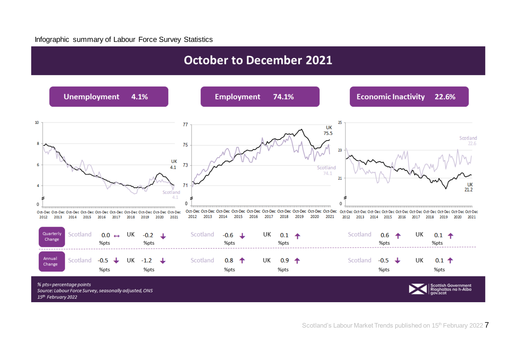#### Infographic summary of Labour Force Survey Statistics

## **October to December 2021**

<span id="page-6-0"></span>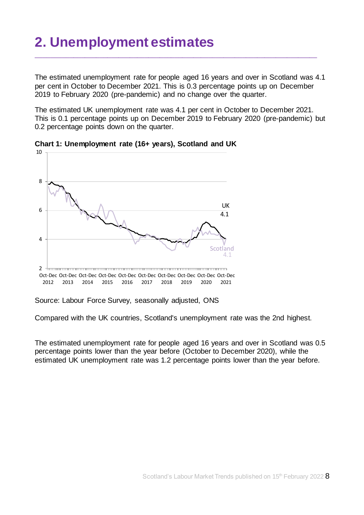# <span id="page-7-0"></span>**2. Unemployment estimates**

The estimated unemployment rate for people aged 16 years and over in Scotland was 4.1 per cent in October to December 2021. This is 0.3 percentage points up on December 2019 to February 2020 (pre-pandemic) and no change over the quarter.

\_\_\_\_\_\_\_\_\_\_\_\_\_\_\_\_\_\_\_\_\_\_\_\_\_\_\_\_\_\_\_\_\_\_\_\_\_\_\_\_\_\_\_\_\_\_\_\_\_\_\_\_\_\_\_\_\_\_\_\_\_\_\_\_\_\_\_\_\_\_\_\_\_\_\_

The estimated UK unemployment rate was 4.1 per cent in October to December 2021. This is 0.1 percentage points up on December 2019 to February 2020 (pre-pandemic) but 0.2 percentage points down on the quarter.



**Chart 1: Unemployment rate (16+ years), Scotland and UK**

Source: Labour Force Survey, seasonally adjusted, ONS

Compared with the UK countries, Scotland's unemployment rate was the 2nd highest.

The estimated unemployment rate for people aged 16 years and over in Scotland was 0.5 percentage points lower than the year before (October to December 2020), while the estimated UK unemployment rate was 1.2 percentage points lower than the year before.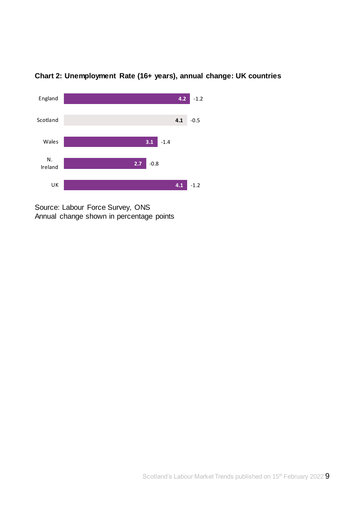

### **Chart 2: Unemployment Rate (16+ years), annual change: UK countries**

Source: Labour Force Survey, ONS Annual change shown in percentage points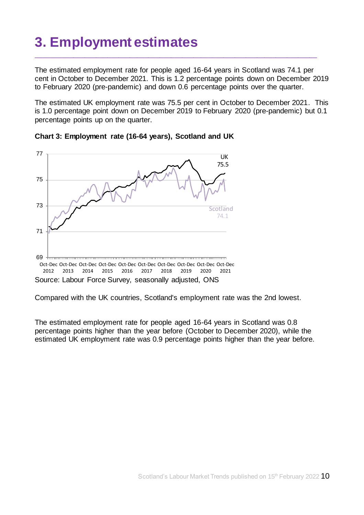# <span id="page-9-0"></span>**3. Employment estimates**

The estimated employment rate for people aged 16-64 years in Scotland was 74.1 per cent in October to December 2021. This is 1.2 percentage points down on December 2019 to February 2020 (pre-pandemic) and down 0.6 percentage points over the quarter.

\_\_\_\_\_\_\_\_\_\_\_\_\_\_\_\_\_\_\_\_\_\_\_\_\_\_\_\_\_\_\_\_\_\_\_\_\_\_\_\_\_\_\_\_\_\_\_\_\_\_\_\_\_\_\_\_\_\_\_\_\_\_\_\_\_\_\_\_\_\_\_\_\_\_\_

The estimated UK employment rate was 75.5 per cent in October to December 2021. This is 1.0 percentage point down on December 2019 to February 2020 (pre-pandemic) but 0.1 percentage points up on the quarter.





Compared with the UK countries, Scotland's employment rate was the 2nd lowest.

The estimated employment rate for people aged 16-64 years in Scotland was 0.8 percentage points higher than the year before (October to December 2020), while the estimated UK employment rate was 0.9 percentage points higher than the year before.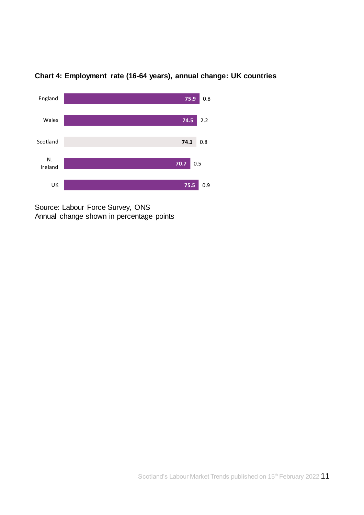

**Chart 4: Employment rate (16-64 years), annual change: UK countries**

Source: Labour Force Survey, ONS Annual change shown in percentage points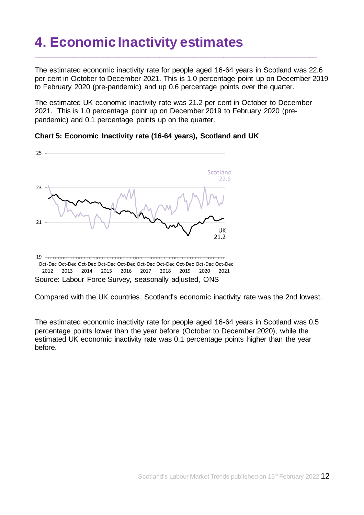# <span id="page-11-0"></span>**4. Economic Inactivity estimates**

The estimated economic inactivity rate for people aged 16-64 years in Scotland was 22.6 per cent in October to December 2021. This is 1.0 percentage point up on December 2019 to February 2020 (pre-pandemic) and up 0.6 percentage points over the quarter.

\_\_\_\_\_\_\_\_\_\_\_\_\_\_\_\_\_\_\_\_\_\_\_\_\_\_\_\_\_\_\_\_\_\_\_\_\_\_\_\_\_\_\_\_\_\_\_\_\_\_\_\_\_\_\_\_\_\_\_\_\_\_\_\_\_\_\_\_\_\_\_\_\_\_\_

The estimated UK economic inactivity rate was 21.2 per cent in October to December 2021. This is 1.0 percentage point up on December 2019 to February 2020 (prepandemic) and 0.1 percentage points up on the quarter.



**Chart 5: Economic Inactivity rate (16-64 years), Scotland and UK** 

Compared with the UK countries, Scotland's economic inactivity rate was the 2nd lowest.

The estimated economic inactivity rate for people aged 16-64 years in Scotland was 0.5 percentage points lower than the year before (October to December 2020), while the estimated UK economic inactivity rate was 0.1 percentage points higher than the year before.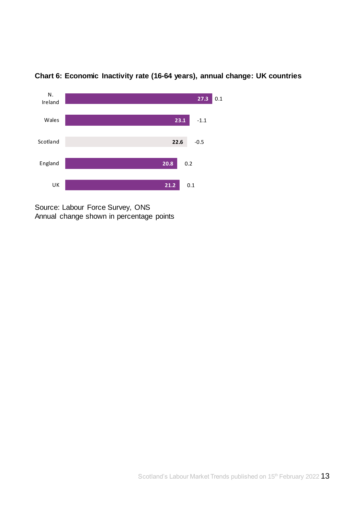

**Chart 6: Economic Inactivity rate (16-64 years), annual change: UK countries**

Source: Labour Force Survey, ONS Annual change shown in percentage points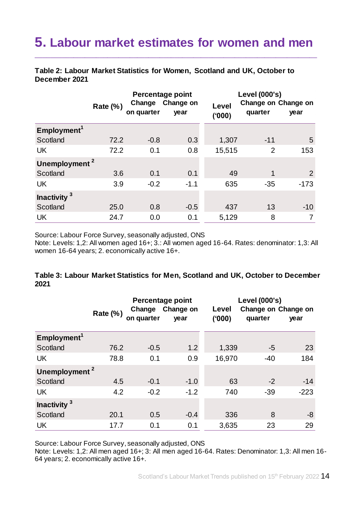## <span id="page-13-0"></span>**5. Labour market estimates for women and men**

\_\_\_\_\_\_\_\_\_\_\_\_\_\_\_\_\_\_\_\_\_\_\_\_\_\_\_\_\_\_\_\_\_\_\_\_\_\_\_\_\_\_\_\_\_\_\_\_\_\_\_\_\_\_\_\_\_\_\_\_\_\_\_\_\_\_\_\_\_\_\_\_\_\_\_

**Table 2: Labour Market Statistics for Women, Scotland and UK, October to December 2021**

|                           | <b>Rate (%)</b> | Change<br>on quarter | Percentage point<br>Change on<br>year | Level<br>(000) | Level (000's)<br>Change on Change on<br>quarter | year           |
|---------------------------|-----------------|----------------------|---------------------------------------|----------------|-------------------------------------------------|----------------|
| Employment <sup>1</sup>   |                 |                      |                                       |                |                                                 |                |
| Scotland                  | 72.2            | $-0.8$               | 0.3                                   | 1,307          | $-11$                                           | 5              |
| <b>UK</b>                 | 72.2            | 0.1                  | 0.8                                   | 15,515         | 2                                               | 153            |
| Unemployment <sup>2</sup> |                 |                      |                                       |                |                                                 |                |
| Scotland                  | 3.6             | 0.1                  | 0.1                                   | 49             | 1                                               | $\overline{2}$ |
| <b>UK</b>                 | 3.9             | $-0.2$               | $-1.1$                                | 635            | $-35$                                           | $-173$         |
| Inactivity <sup>3</sup>   |                 |                      |                                       |                |                                                 |                |
| Scotland                  | 25.0            | 0.8                  | $-0.5$                                | 437            | 13                                              | $-10$          |
| <b>UK</b>                 | 24.7            | 0.0                  | 0.1                                   | 5,129          | 8                                               | 7              |

Source: Labour Force Survey, seasonally adjusted, ONS

Note: Levels: 1,2: All women aged 16+; 3.: All women aged 16-64. Rates: denominator: 1,3: All women 16-64 years; 2. economically active 16+.

#### **Table 3: Labour Market Statistics for Men, Scotland and UK, October to December 2021**

|                           | Rate $(\%)$ | Change<br>on quarter | Percentage point<br>Change on<br>year | Level<br>(000) | <b>Level (000's)</b><br>Change on Change on<br>quarter | year   |
|---------------------------|-------------|----------------------|---------------------------------------|----------------|--------------------------------------------------------|--------|
| Employment <sup>1</sup>   |             |                      |                                       |                |                                                        |        |
| Scotland                  | 76.2        | $-0.5$               | 1.2                                   | 1,339          | -5                                                     | 23     |
| <b>UK</b>                 | 78.8        | 0.1                  | 0.9                                   | 16,970         | $-40$                                                  | 184    |
| Unemployment <sup>2</sup> |             |                      |                                       |                |                                                        |        |
| Scotland                  | 4.5         | $-0.1$               | $-1.0$                                | 63             | $-2$                                                   | $-14$  |
| <b>UK</b>                 | 4.2         | $-0.2$               | $-1.2$                                | 740            | $-39$                                                  | $-223$ |
| Inactivity <sup>3</sup>   |             |                      |                                       |                |                                                        |        |
| Scotland                  | 20.1        | 0.5                  | $-0.4$                                | 336            | 8                                                      | -8     |
| <b>UK</b>                 | 17.7        | 0.1                  | 0.1                                   | 3,635          | 23                                                     | 29     |

Source: Labour Force Survey, seasonally adjusted, ONS

Note: Levels: 1,2: All men aged 16+; 3: All men aged 16-64. Rates: Denominator: 1,3: All men 16- 64 years; 2. economically active 16+.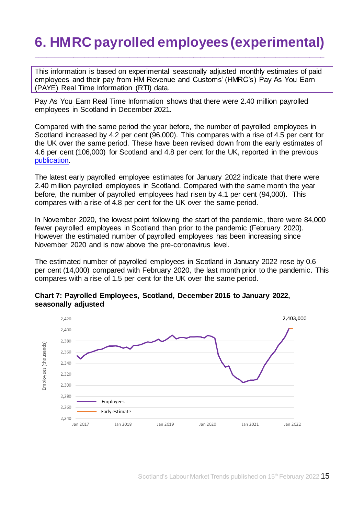# <span id="page-14-0"></span>**6. HMRC payrolled employees (experimental)**

\_\_\_\_\_\_\_\_\_\_\_\_\_\_\_\_\_\_\_\_\_\_\_\_\_\_\_\_\_\_\_\_\_\_\_\_\_\_\_\_\_\_\_\_\_\_\_\_\_\_\_\_\_\_\_\_\_\_\_\_\_\_\_\_\_\_\_\_\_\_\_\_\_\_\_\_\_

This information is based on experimental seasonally adjusted monthly estimates of paid employees and their pay from HM Revenue and Customs' (HMRC's) Pay As You Earn (PAYE) Real Time Information (RTI) data.

Pay As You Earn Real Time Information shows that there were 2.40 million payrolled employees in Scotland in December 2021.

Compared with the same period the year before, the number of payrolled employees in Scotland increased by 4.2 per cent (96,000). This compares with a rise of 4.5 per cent for the UK over the same period. These have been revised down from the early estimates of 4.6 per cent (106,000) for Scotland and 4.8 per cent for the UK, reported in the previous [publication.](https://www.gov.scot/publications/labour-market-trends-january-2022/)

The latest early payrolled employee estimates for January 2022 indicate that there were 2.40 million payrolled employees in Scotland. Compared with the same month the year before, the number of payrolled employees had risen by 4.1 per cent (94,000). This compares with a rise of 4.8 per cent for the UK over the same period.

In November 2020, the lowest point following the start of the pandemic, there were 84,000 fewer payrolled employees in Scotland than prior to the pandemic (February 2020). However the estimated number of payrolled employees has been increasing since November 2020 and is now above the pre-coronavirus level.

The estimated number of payrolled employees in Scotland in January 2022 rose by 0.6 per cent (14,000) compared with February 2020, the last month prior to the pandemic. This compares with a rise of 1.5 per cent for the UK over the same period.



#### **Chart 7: Payrolled Employees, Scotland, December 2016 to January 2022, seasonally adjusted**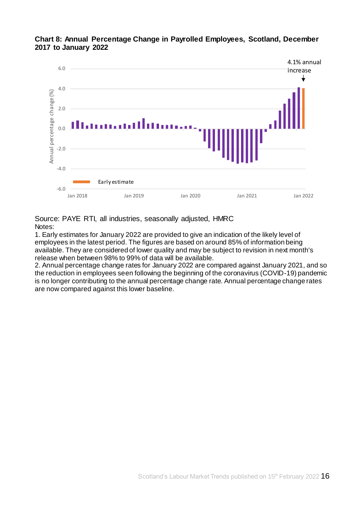

#### **Chart 8: Annual Percentage Change in Payrolled Employees, Scotland, December 2017 to January 2022**

Source: PAYE RTI, all industries, seasonally adjusted, HMRC Notes:

1. Early estimates for January 2022 are provided to give an indication of the likely level of employees in the latest period. The figures are based on around 85% of information being available. They are considered of lower quality and may be subject to revision in next month's release when between 98% to 99% of data will be available.

2. Annual percentage change rates for January 2022 are compared against January 2021, and so the reduction in employees seen following the beginning of the coronavirus (COVID-19) pandemic is no longer contributing to the annual percentage change rate. Annual percentage change rates are now compared against this lower baseline.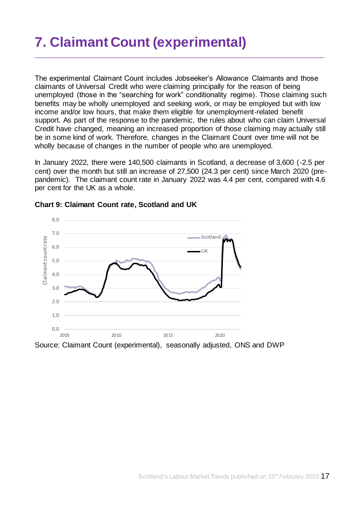# <span id="page-16-0"></span>**7. Claimant Count (experimental)**

The experimental Claimant Count includes Jobseeker's Allowance Claimants and those claimants of Universal Credit who were claiming principally for the reason of being unemployed (those in the "searching for work" conditionality regime). Those claiming such benefits may be wholly unemployed and seeking work, or may be employed but with low income and/or low hours, that make them eligible for unemployment-related benefit support. As part of the response to the pandemic, the rules about who can claim Universal Credit have changed, meaning an increased proportion of those claiming may actually still be in some kind of work. Therefore, changes in the Claimant Count over time will not be wholly because of changes in the number of people who are unemployed.

\_\_\_\_\_\_\_\_\_\_\_\_\_\_\_\_\_\_\_\_\_\_\_\_\_\_\_\_\_\_\_\_\_\_\_\_\_\_\_\_\_\_\_\_\_\_\_\_\_\_\_\_\_\_\_\_\_\_\_\_\_\_\_\_\_\_\_\_\_\_\_\_\_\_\_\_\_

In January 2022, there were 140,500 claimants in Scotland, a decrease of 3,600 (-2.5 per cent) over the month but still an increase of 27,500 (24.3 per cent) since March 2020 (prepandemic). The claimant count rate in January 2022 was 4.4 per cent, compared with 4.6 per cent for the UK as a whole.



#### **Chart 9: Claimant Count rate, Scotland and UK**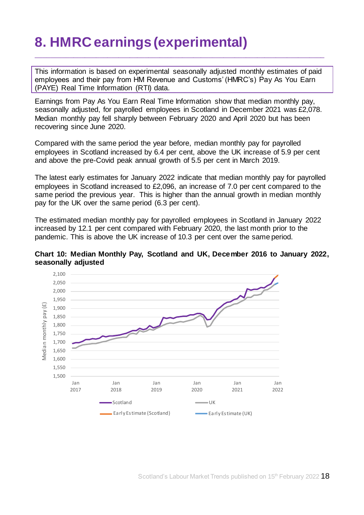# <span id="page-17-0"></span>**8. HMRC earnings (experimental)**

This information is based on experimental seasonally adjusted monthly estimates of paid employees and their pay from HM Revenue and Customs' (HMRC's) Pay As You Earn (PAYE) Real Time Information (RTI) data.

\_\_\_\_\_\_\_\_\_\_\_\_\_\_\_\_\_\_\_\_\_\_\_\_\_\_\_\_\_\_\_\_\_\_\_\_\_\_\_\_\_\_\_\_\_\_\_\_\_\_\_\_\_\_\_\_\_\_\_\_\_\_\_\_\_\_\_\_\_\_\_\_\_\_\_\_\_

Earnings from Pay As You Earn Real Time Information show that median monthly pay, seasonally adjusted, for payrolled employees in Scotland in December 2021 was £2,078. Median monthly pay fell sharply between February 2020 and April 2020 but has been recovering since June 2020.

Compared with the same period the year before, median monthly pay for payrolled employees in Scotland increased by 6.4 per cent, above the UK increase of 5.9 per cent and above the pre-Covid peak annual growth of 5.5 per cent in March 2019.

The latest early estimates for January 2022 indicate that median monthly pay for payrolled employees in Scotland increased to £2,096, an increase of 7.0 per cent compared to the same period the previous year. This is higher than the annual growth in median monthly pay for the UK over the same period (6.3 per cent).

The estimated median monthly pay for payrolled employees in Scotland in January 2022 increased by 12.1 per cent compared with February 2020, the last month prior to the pandemic. This is above the UK increase of 10.3 per cent over the same period.



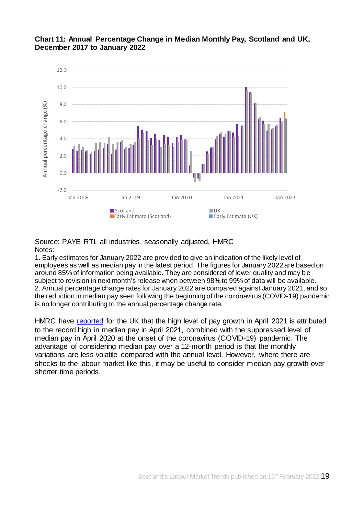



Source: PAYE RTI, all industries, seasonally adjusted, HMRC Notes:

1. Early estimates for January 2022 are provided to give an indication of the likely level of employees as well as median pay in the latest period. The figures for January 2022 are based on around 85% of information being available. They are considered of lower quality and may be subject to revision in next month's release when between 98% to 99% of data will be available. 2. Annual percentage change rates for January 2022 are compared against January 2021, and so the reduction in median pay seen following the beginning of the coronavirus (COVID-19) pandemic is no longer contributing to the annual percentage change rate.

HMRC have [reported](https://www.ons.gov.uk/employmentandlabourmarket/peopleinwork/earningsandworkinghours/bulletins/earningsandemploymentfrompayasyouearnrealtimeinformationuk/latest) for the UK that the high level of pay growth in April 2021 is attributed to the record high in median pay in April 2021, combined with the suppressed level of median pay in April 2020 at the onset of the coronavirus (COVID-19) pandemic. The advantage of considering median pay over a 12-month period is that the monthly variations are less volatile compared with the annual level. However, where there are shocks to the labour market like this, it may be useful to consider median pay growth over shorter time periods.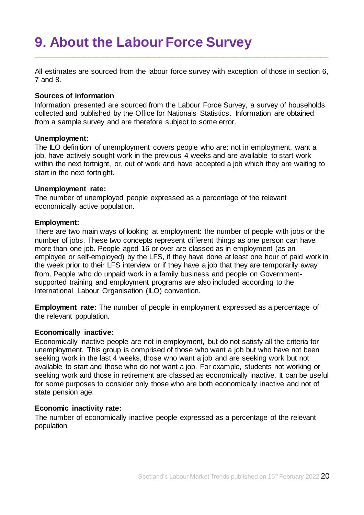# <span id="page-19-0"></span>**9. About the Labour Force Survey**

All estimates are sourced from the labour force survey with exception of those in section 6, 7 and 8.

\_\_\_\_\_\_\_\_\_\_\_\_\_\_\_\_\_\_\_\_\_\_\_\_\_\_\_\_\_\_\_\_\_\_\_\_\_\_\_\_\_\_\_\_\_\_\_\_\_\_\_\_\_\_\_\_\_\_\_\_\_\_\_\_\_\_\_\_\_\_\_\_\_\_\_\_\_\_

#### **Sources of information**

Information presented are sourced from the Labour Force Survey, a survey of households collected and published by the Office for Nationals Statistics. Information are obtained from a sample survey and are therefore subject to some error.

#### **Unemployment:**

The ILO definition of unemployment covers people who are: not in employment, want a job, have actively sought work in the previous 4 weeks and are available to start work within the next fortnight, or, out of work and have accepted a job which they are waiting to start in the next fortnight.

#### **Unemployment rate:**

The number of unemployed people expressed as a percentage of the relevant economically active population.

#### **Employment:**

There are two main ways of looking at employment: the number of people with jobs or the number of jobs. These two concepts represent different things as one person can have more than one job. People aged 16 or over are classed as in employment (as an employee or self-employed) by the LFS, if they have done at least one hour of paid work in the week prior to their LFS interview or if they have a job that they are temporarily away from. People who do unpaid work in a family business and people on Governmentsupported training and employment programs are also included according to the International Labour Organisation (ILO) convention.

**Employment rate:** The number of people in employment expressed as a percentage of the relevant population.

#### **Economically inactive:**

Economically inactive people are not in employment, but do not satisfy all the criteria for unemployment. This group is comprised of those who want a job but who have not been seeking work in the last 4 weeks, those who want a job and are seeking work but not available to start and those who do not want a job. For example, students not working or seeking work and those in retirement are classed as economically inactive. It can be useful for some purposes to consider only those who are both economically inactive and not of state pension age.

#### **Economic inactivity rate:**

The number of economically inactive people expressed as a percentage of the relevant population.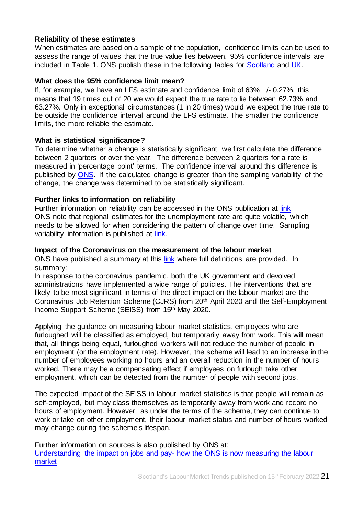#### **Reliability of these estimates**

When estimates are based on a sample of the population, confidence limits can be used to assess the range of values that the true value lies between. 95% confidence intervals are included in Table 1. ONS publish these in the following tables for [Scotland](https://www.ons.gov.uk/employmentandlabourmarket/peopleinwork/employmentandemployeetypes/datasets/samplingvariabilityandrevisionssummaryforregionallabourmarketstatisticss02) and [UK.](https://www.ons.gov.uk/employmentandlabourmarket/peopleinwork/employmentandemployeetypes/datasets/labourforcesurveysamplingvariabilitya11)

#### **What does the 95% confidence limit mean?**

If, for example, we have an LFS estimate and confidence limit of 63% +/- 0.27%, this means that 19 times out of 20 we would expect the true rate to lie between 62.73% and 63.27%. Only in exceptional circumstances (1 in 20 times) would we expect the true rate to be outside the confidence interval around the LFS estimate. The smaller the confidence limits, the more reliable the estimate.

#### **What is statistical significance?**

To determine whether a change is statistically significant, we first calculate the difference between 2 quarters or over the year. The difference between 2 quarters for a rate is measured in 'percentage point' terms. The confidence interval around this difference is published by [ONS.](https://www.ons.gov.uk/employmentandlabourmarket/peopleinwork/employmentandemployeetypes/datasets/samplingvariabilityandrevisionssummaryforregionallabourmarketstatisticss02) If the calculated change is greater than the sampling variability of the change, the change was determined to be statistically significant.

#### **Further links to information on reliability**

Further information on reliability can be accessed in the ONS publication at [link](https://www.ons.gov.uk/employmentandlabourmarket/peopleinwork/employmentandemployeetypes/bulletins/uklabourmarket/february2022) ONS note that regional estimates for the unemployment rate are quite volatile, which needs to be allowed for when considering the pattern of change over time. Sampling variability information is published at [link.](https://www.ons.gov.uk/employmentandlabourmarket/peopleinwork/employmentandemployeetypes/datasets/samplingvariabilityandrevisionssummaryforregionallabourmarketstatisticss02)

#### **Impact of the Coronavirus on the measurement of the labour market**

ONS have published a summary at this [link](https://www.ons.gov.uk/employmentandlabourmarket/peopleinwork/employmentandemployeetypes/articles/coronavirusandtheeffectsonuklabourmarketstatistics/2020-05-06#measuring-the-labour-markets/) where full definitions are provided. In summary:

In response to the coronavirus pandemic, both the UK government and devolved administrations have implemented a wide range of policies. The interventions that are likely to be most significant in terms of the direct impact on the labour market are the Coronavirus Job Retention Scheme (CJRS) from 20th April 2020 and the Self-Employment Income Support Scheme (SEISS) from 15th May 2020.

Applying the guidance on measuring labour market statistics, employees who are furloughed will be classified as employed, but temporarily away from work. This will mean that, all things being equal, furloughed workers will not reduce the number of people in employment (or the employment rate). However, the scheme will lead to an increase in the number of employees working no hours and an overall reduction in the number of hours worked. There may be a compensating effect if employees on furlough take other employment, which can be detected from the number of people with second jobs.

The expected impact of the SEISS in labour market statistics is that people will remain as self-employed, but may class themselves as temporarily away from work and record no hours of employment. However, as under the terms of the scheme, they can continue to work or take on other employment, their labour market status and number of hours worked may change during the scheme's lifespan.

Further information on sources is also published by ONS at: [Understanding the impact on jobs and pay-](https://blog.ons.gov.uk/2020/06/15/painting-the-clearest-picture-possible-how-the-ons-is-measuring-the-labour-market/7) how the ONS is now measuring the labour [market](https://blog.ons.gov.uk/2020/06/15/painting-the-clearest-picture-possible-how-the-ons-is-measuring-the-labour-market/7)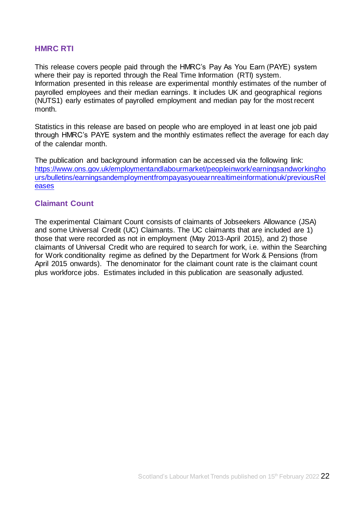#### **HMRC RTI**

This release covers people paid through the HMRC's Pay As You Earn (PAYE) system where their pay is reported through the Real Time Information (RTI) system. Information presented in this release are experimental monthly estimates of the number of payrolled employees and their median earnings. It includes UK and geographical regions (NUTS1) early estimates of payrolled employment and median pay for the most recent month.

Statistics in this release are based on people who are employed in at least one job paid through HMRC's PAYE system and the monthly estimates reflect the average for each day of the calendar month.

The publication and background information can be accessed via the following link: [https://www.ons.gov.uk/employmentandlabourmarket/peopleinwork/earningsandworkingho](https://www.ons.gov.uk/employmentandlabourmarket/peopleinwork/earningsandworkinghours/bulletins/earningsandemploymentfrompayasyouearnrealtimeinformationuk/previousReleases) [urs/bulletins/earningsandemploymentfrompayasyouearnrealtimeinformationuk/previousRel](https://www.ons.gov.uk/employmentandlabourmarket/peopleinwork/earningsandworkinghours/bulletins/earningsandemploymentfrompayasyouearnrealtimeinformationuk/previousReleases) [eases](https://www.ons.gov.uk/employmentandlabourmarket/peopleinwork/earningsandworkinghours/bulletins/earningsandemploymentfrompayasyouearnrealtimeinformationuk/previousReleases)

#### **Claimant Count**

The experimental Claimant Count consists of claimants of Jobseekers Allowance (JSA) and some Universal Credit (UC) Claimants. The UC claimants that are included are 1) those that were recorded as not in employment (May 2013-April 2015), and 2) those claimants of Universal Credit who are required to search for work, i.e. within the Searching for Work conditionality regime as defined by the Department for Work & Pensions (from April 2015 onwards). The denominator for the claimant count rate is the claimant count plus workforce jobs. Estimates included in this publication are seasonally adjusted.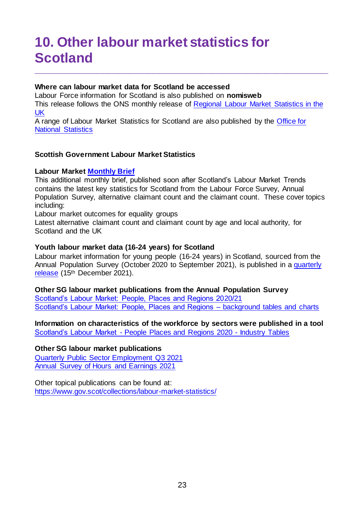# <span id="page-22-0"></span>**10. Other labour market statistics for Scotland**

#### **Where can labour market data for Scotland be accessed**

Labour Force information for Scotland is also published on **[nomisweb](https://www.nomisweb.co.uk/)** This release follows the ONS monthly release of [Regional Labour Market Statistics in the](https://www.ons.gov.uk/employmentandlabourmarket/peopleinwork/employmentandemployeetypes/bulletins/regionallabourmarket/previousReleases)  [UK](https://www.ons.gov.uk/employmentandlabourmarket/peopleinwork/employmentandemployeetypes/bulletins/regionallabourmarket/previousReleases) 

\_\_\_\_\_\_\_\_\_\_\_\_\_\_\_\_\_\_\_\_\_\_\_\_\_\_\_\_\_\_\_\_\_\_\_\_\_\_\_\_\_\_\_\_\_\_\_\_\_\_\_\_\_\_\_\_\_\_\_\_\_\_\_\_\_\_\_\_\_\_\_\_\_\_\_\_\_\_

A range of Labour Market Statistics for Scotland are also published by the [Office for](https://www.ons.gov.uk/)  [National Statistics](https://www.ons.gov.uk/)

#### **Scottish Government Labour Market Statistics**

#### **Labour Marke[t Monthly Brief](https://www.gov.scot/publications/labour-market-monthly-briefing-february-2022/)**

This additional monthly brief, published soon after Scotland's Labour Market Trends contains the latest key statistics for Scotland from the Labour Force Survey, Annual Population Survey, alternative claimant count and the claimant count. These cover topics including:

Labour market outcomes for equality groups

Latest alternative claimant count and claimant count by age and local authority, for Scotland and the UK

#### **Youth labour market data (16-24 years) for Scotland**

Labour market information for young people (16-24 years) in Scotland, sourced from the Annual Population Survey (October 2020 to September 2021), is published in a [quarterly](https://www.gov.scot/collections/labour-market-statistics/#youngpeopleinthelabourmarket)  [release](https://www.gov.scot/collections/labour-market-statistics/#youngpeopleinthelabourmarket) (15<sup>th</sup> December 2021).

## **Other SG labour market publications from the Annual Population Survey**

[Scotland's Labour Market: People, Places and Regions 2020/21](https://www.gov.scot/publications/scotlands-labour-market-people-places-regions-statistics-annual-population-survey-2020-21/) [Scotland's Labour Market: People, Places and Regions –](https://www.gov.scot/publications/scotlands-labour-market-people-places-and-regions-background-tables-and-charts/) background tables and charts

**Information on characteristics of the workforce by sectors were published in a tool**  Scotland's Labour Market - [People Places and Regions 2020 -](https://www.gov.scot/publications/scotlands-labour-market-people-places-and-regions-background-tables-and-charts/) Industry Tables

#### **Other SG labour market publications**

[Quarterly Public Sector Employment Q3](https://www.gov.scot/collections/labour-market-statistics/#publicsectoremployment) 2021 [Annual Survey of Hours and Earnings 2021](https://www.gov.scot/publications/annual-survey-of-hours-and-earnings-2021/)

Other topical publications can be found at: <https://www.gov.scot/collections/labour-market-statistics/>